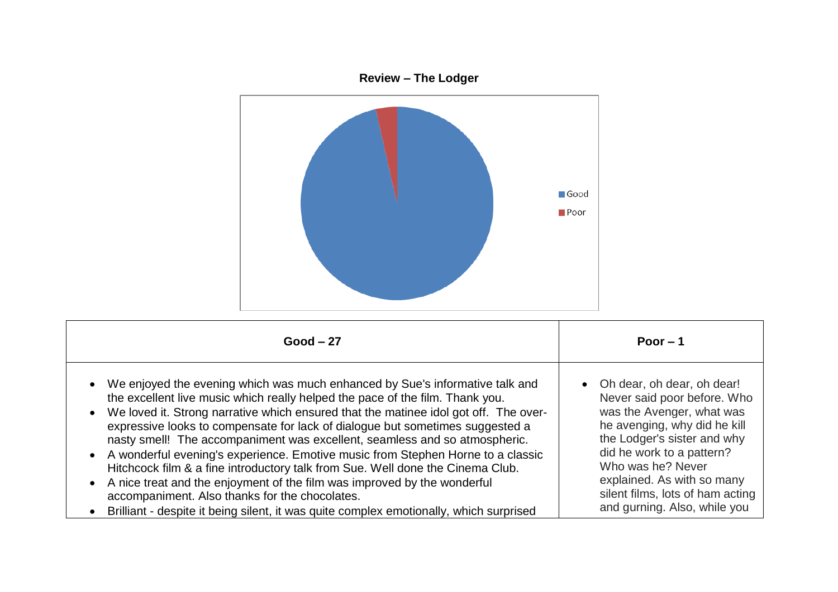

| $Good - 27$                                                                            | Poor $-1$                        |
|----------------------------------------------------------------------------------------|----------------------------------|
| We enjoyed the evening which was much enhanced by Sue's informative talk and           | • Oh dear, oh dear, oh dear!     |
| the excellent live music which really helped the pace of the film. Thank you.          | Never said poor before. Who      |
| • We loved it. Strong narrative which ensured that the matinee idol got off. The over- | was the Avenger, what was        |
| expressive looks to compensate for lack of dialogue but sometimes suggested a          | he avenging, why did he kill     |
| nasty smell! The accompaniment was excellent, seamless and so atmospheric.             | the Lodger's sister and why      |
| • A wonderful evening's experience. Emotive music from Stephen Horne to a classic      | did he work to a pattern?        |
| Hitchcock film & a fine introductory talk from Sue. Well done the Cinema Club.         | Who was he? Never                |
| • A nice treat and the enjoyment of the film was improved by the wonderful             | explained. As with so many       |
| accompaniment. Also thanks for the chocolates.                                         | silent films, lots of ham acting |
| Brilliant - despite it being silent, it was quite complex emotionally, which surprised | and gurning. Also, while you     |